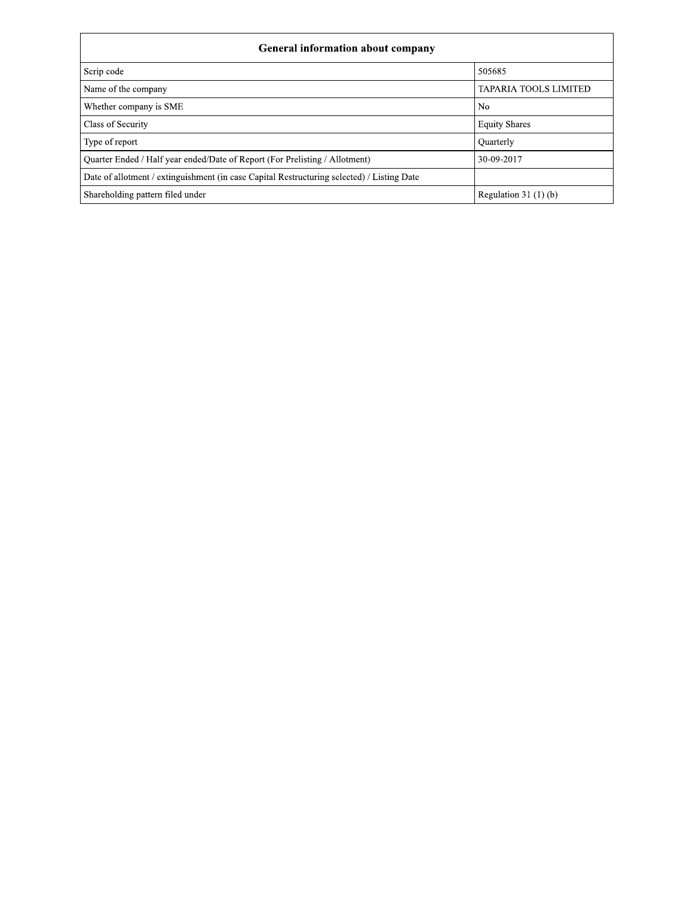| <b>General information about company</b>                                                   |                              |  |  |  |  |  |  |  |
|--------------------------------------------------------------------------------------------|------------------------------|--|--|--|--|--|--|--|
| Scrip code                                                                                 | 505685                       |  |  |  |  |  |  |  |
| Name of the company                                                                        | <b>TAPARIA TOOLS LIMITED</b> |  |  |  |  |  |  |  |
| Whether company is SME                                                                     | No                           |  |  |  |  |  |  |  |
| Class of Security                                                                          | <b>Equity Shares</b>         |  |  |  |  |  |  |  |
| Type of report                                                                             | Quarterly                    |  |  |  |  |  |  |  |
| Quarter Ended / Half year ended/Date of Report (For Prelisting / Allotment)                | 30-09-2017                   |  |  |  |  |  |  |  |
| Date of allotment / extinguishment (in case Capital Restructuring selected) / Listing Date |                              |  |  |  |  |  |  |  |
| Shareholding pattern filed under                                                           | Regulation 31 $(1)(b)$       |  |  |  |  |  |  |  |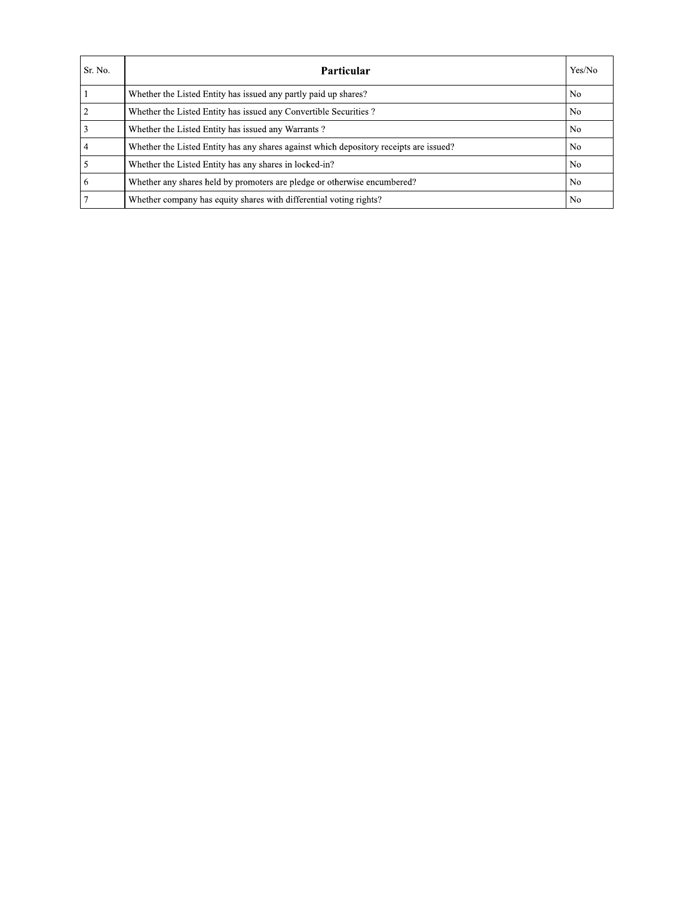| Sr. No.        | Particular                                                                             | Yes/No |
|----------------|----------------------------------------------------------------------------------------|--------|
|                | Whether the Listed Entity has issued any partly paid up shares?                        | No     |
| $\overline{2}$ | Whether the Listed Entity has issued any Convertible Securities?                       | No     |
| 3              | Whether the Listed Entity has issued any Warrants?                                     | No     |
| $\overline{4}$ | Whether the Listed Entity has any shares against which depository receipts are issued? | No     |
| 5              | Whether the Listed Entity has any shares in locked-in?                                 | No     |
| -6             | Whether any shares held by promoters are pledge or otherwise encumbered?               | No.    |
| $\overline{7}$ | Whether company has equity shares with differential voting rights?                     | No     |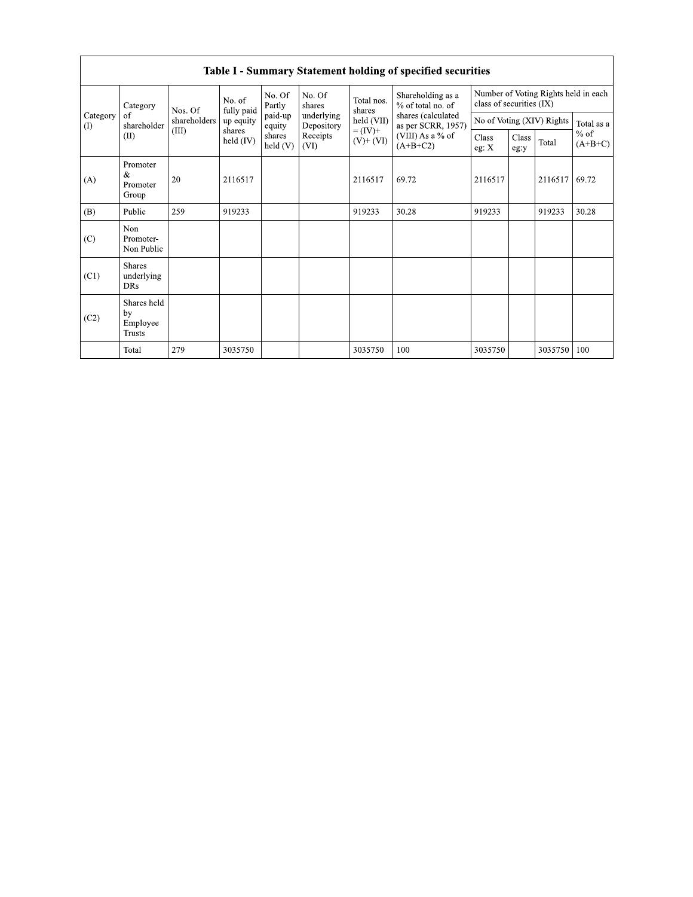|                                                       | Table 1 - Summary Statement holding of specified securities |                              |                                |                          |                  |                                          |                                        |                          |                                      |            |       |  |  |
|-------------------------------------------------------|-------------------------------------------------------------|------------------------------|--------------------------------|--------------------------|------------------|------------------------------------------|----------------------------------------|--------------------------|--------------------------------------|------------|-------|--|--|
| Category<br>Category<br>of<br>$\Omega$<br>shareholder |                                                             | Nos. Of                      | No. of<br>fully paid           | No. Of<br>Partly         | No. Of<br>shares | Total nos.<br>shares                     | Shareholding as a<br>% of total no. of | class of securities (IX) | Number of Voting Rights held in each |            |       |  |  |
|                                                       | shareholders<br>(III)                                       | up equity<br>shares          | paid-up<br>equity              | underlying<br>Depository | held (VII)       | shares (calculated<br>as per SCRR, 1957) |                                        |                          | No of Voting (XIV) Rights            | Total as a |       |  |  |
|                                                       | Receipts<br>shares<br>(II)<br>held (IV)<br>held(V)<br>(VI)  | $= (IV) +$<br>$(V)$ + $(VI)$ | (VIII) As a % of<br>$(A+B+C2)$ |                          | Class<br>eg:y    | Total                                    | $%$ of<br>$(A+B+C)$                    |                          |                                      |            |       |  |  |
| (A)                                                   | Promoter<br>&<br>Promoter<br>Group                          | 20                           | 2116517                        |                          |                  | 2116517                                  | 69.72                                  | 2116517                  |                                      | 2116517    | 69.72 |  |  |
| (B)                                                   | Public                                                      | 259                          | 919233                         |                          |                  | 919233                                   | 30.28                                  | 919233                   |                                      | 919233     | 30.28 |  |  |
| (C)                                                   | Non<br>Promoter-<br>Non Public                              |                              |                                |                          |                  |                                          |                                        |                          |                                      |            |       |  |  |
| (C1)                                                  | <b>Shares</b><br>underlying<br><b>DRs</b>                   |                              |                                |                          |                  |                                          |                                        |                          |                                      |            |       |  |  |
| (C2)                                                  | Shares held<br>by<br>Employee<br><b>Trusts</b>              |                              |                                |                          |                  |                                          |                                        |                          |                                      |            |       |  |  |
|                                                       | Total                                                       | 279                          | 3035750                        |                          |                  | 3035750                                  | 100                                    | 3035750                  |                                      | 3035750    | 100   |  |  |

Toble L. Summary Statement holding of specified securities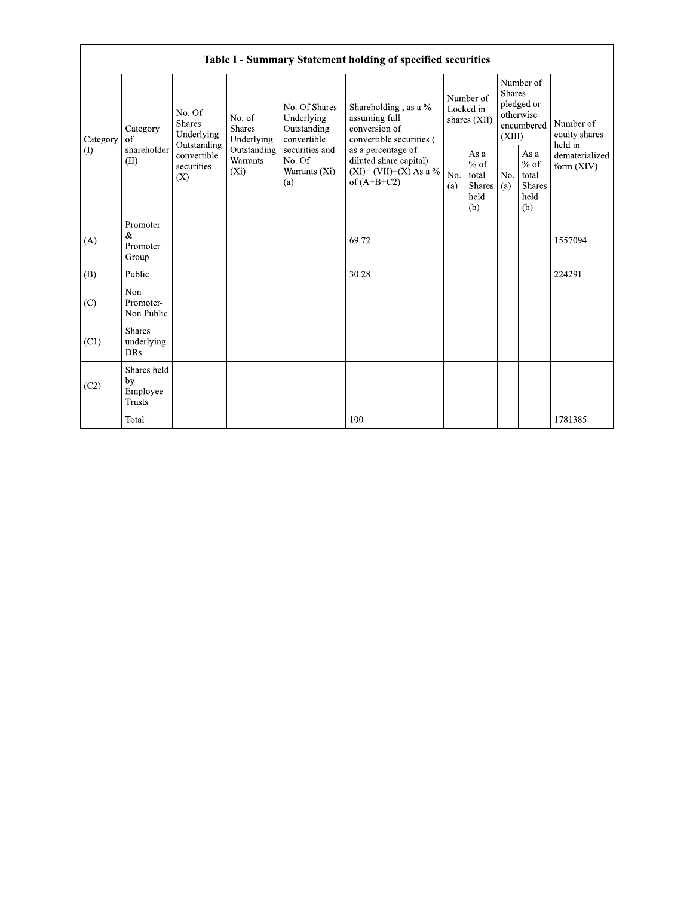|                 | Table I - Summary Statement holding of specified securities |                                                      |                                                                             |                                                           |                                                                                            |            |                                                  |                         |                                                    |                                       |  |  |  |
|-----------------|-------------------------------------------------------------|------------------------------------------------------|-----------------------------------------------------------------------------|-----------------------------------------------------------|--------------------------------------------------------------------------------------------|------------|--------------------------------------------------|-------------------------|----------------------------------------------------|---------------------------------------|--|--|--|
| Category<br>(1) | Category<br>of<br>shareholder<br>(II)                       | No. Of<br><b>Shares</b><br>Underlying<br>Outstanding | No. of<br><b>Shares</b><br>Underlying<br>Outstanding<br>Warrants<br>$(X_i)$ | No. Of Shares<br>Underlying<br>Outstanding<br>convertible | Shareholding, as a %<br>assuming full<br>conversion of<br>convertible securities (         |            | Number of<br>Locked in<br>shares (XII)           | <b>Shares</b><br>(XIII) | Number of<br>pledged or<br>otherwise<br>encumbered | Number of<br>equity shares<br>held in |  |  |  |
|                 |                                                             | convertible<br>securities<br>(X)                     |                                                                             | securities and<br>No. Of<br>Warrants (Xi)<br>(a)          | as a percentage of<br>diluted share capital)<br>$(XI) = (VII)+(X) As a %$<br>of $(A+B+C2)$ | No.<br>(a) | As a<br>$%$ of<br>total<br>Shares<br>held<br>(b) | No.<br>(a)              | As a<br>$%$ of<br>total<br>Shares<br>held<br>(b)   | dematerialized<br>form $(XIV)$        |  |  |  |
| (A)             | Promoter<br>&<br>Promoter<br>Group                          |                                                      |                                                                             |                                                           | 69.72                                                                                      |            |                                                  |                         |                                                    | 1557094                               |  |  |  |
| (B)             | Public                                                      |                                                      |                                                                             |                                                           | 30.28                                                                                      |            |                                                  |                         |                                                    | 224291                                |  |  |  |
| (C)             | Non<br>Promoter-<br>Non Public                              |                                                      |                                                                             |                                                           |                                                                                            |            |                                                  |                         |                                                    |                                       |  |  |  |
| (C1)            | <b>Shares</b><br>underlying<br><b>DRs</b>                   |                                                      |                                                                             |                                                           |                                                                                            |            |                                                  |                         |                                                    |                                       |  |  |  |
| (C2)            | Shares held<br>by<br>Employee<br><b>Trusts</b>              |                                                      |                                                                             |                                                           |                                                                                            |            |                                                  |                         |                                                    |                                       |  |  |  |
|                 | Total                                                       |                                                      |                                                                             |                                                           | 100                                                                                        |            |                                                  |                         |                                                    | 1781385                               |  |  |  |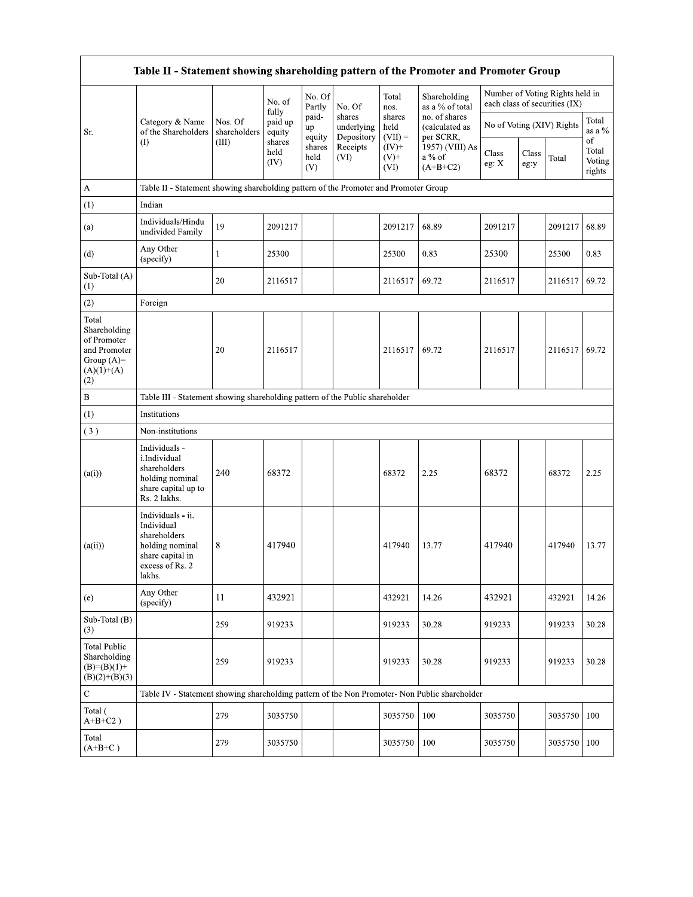| Table II - Statement showing shareholding pattern of the Promoter and Promoter Group         |                                                                                                                     |                         |                            |                       |                                    |                             |                                              |                           |               |                                                                  |                                 |  |
|----------------------------------------------------------------------------------------------|---------------------------------------------------------------------------------------------------------------------|-------------------------|----------------------------|-----------------------|------------------------------------|-----------------------------|----------------------------------------------|---------------------------|---------------|------------------------------------------------------------------|---------------------------------|--|
|                                                                                              |                                                                                                                     |                         | No. of                     | No. Of<br>Partly      | No. Of                             | Total<br>nos.               | Shareholding<br>as a % of total              |                           |               | Number of Voting Rights held in<br>each class of securities (IX) |                                 |  |
| Sr.                                                                                          | Category & Name<br>of the Shareholders                                                                              | Nos. Of<br>shareholders | fully<br>paid up<br>equity | paid-<br>up<br>equity | shares<br>underlying<br>Depository | shares<br>held<br>$(VII) =$ | no. of shares<br>(calculated as<br>per SCRR, | No of Voting (XIV) Rights |               |                                                                  | Total<br>as a %                 |  |
|                                                                                              | $($ I                                                                                                               | (III)                   | shares<br>held<br>(IV)     | shares<br>held<br>(V) | Receipts<br>(VI)                   | $(IV)$ +<br>$(V)+$<br>(VI)  | 1957) (VIII) As<br>a % of<br>$(A+B+C2)$      | Class<br>eg: X            | Class<br>eg:y | Total                                                            | οf<br>Total<br>Voting<br>rights |  |
| $\mathbf{A}$                                                                                 | Table II - Statement showing shareholding pattern of the Promoter and Promoter Group                                |                         |                            |                       |                                    |                             |                                              |                           |               |                                                                  |                                 |  |
| (1)                                                                                          | Indian                                                                                                              |                         |                            |                       |                                    |                             |                                              |                           |               |                                                                  |                                 |  |
| (a)                                                                                          | Individuals/Hindu<br>undivided Family                                                                               | 19                      | 2091217                    |                       |                                    | 2091217                     | 68.89                                        | 2091217                   |               | 2091217                                                          | 68.89                           |  |
| (d)                                                                                          | Any Other<br>(specify)                                                                                              | 1                       | 25300                      |                       |                                    | 25300                       | 0.83                                         | 25300                     |               | 25300                                                            | 0.83                            |  |
| Sub-Total (A)<br>(1)                                                                         |                                                                                                                     | 20                      | 2116517                    |                       |                                    | 2116517                     | 69.72                                        | 2116517                   |               | 2116517                                                          | 69.72                           |  |
| (2)                                                                                          | Foreign                                                                                                             |                         |                            |                       |                                    |                             |                                              |                           |               |                                                                  |                                 |  |
| Total<br>Shareholding<br>of Promoter<br>and Promoter<br>Group $(A)$ =<br>$(A)(1)+(A)$<br>(2) |                                                                                                                     | 20                      | 2116517                    |                       |                                    | 2116517                     | 69.72                                        | 2116517                   |               | 2116517                                                          | 69.72                           |  |
| $\, {\bf B}$                                                                                 | Table III - Statement showing shareholding pattern of the Public shareholder                                        |                         |                            |                       |                                    |                             |                                              |                           |               |                                                                  |                                 |  |
| (1)                                                                                          | Institutions                                                                                                        |                         |                            |                       |                                    |                             |                                              |                           |               |                                                                  |                                 |  |
| (3)                                                                                          | Non-institutions                                                                                                    |                         |                            |                       |                                    |                             |                                              |                           |               |                                                                  |                                 |  |
| (a(i))                                                                                       | Individuals -<br>i.Individual<br>shareholders<br>holding nominal<br>share capital up to<br>Rs. 2 lakhs.             | 240                     | 68372                      |                       |                                    | 68372                       | 2.25                                         | 68372                     |               | 68372                                                            | 2.25                            |  |
| (a(ii))                                                                                      | Individuals - ii.<br>Individual<br>shareholders<br>holding nominal<br>share capital in<br>excess of Rs. 2<br>lakhs. | 8                       | 417940                     |                       |                                    | 417940                      | 13.77                                        | 417940                    |               | 417940                                                           | 13.77                           |  |
| (e)                                                                                          | Any Other<br>(specify)                                                                                              | 11                      | 432921                     |                       |                                    | 432921                      | 14.26                                        | 432921                    |               | 432921                                                           | 14.26                           |  |
| Sub-Total (B)<br>(3)                                                                         |                                                                                                                     | 259                     | 919233                     |                       |                                    | 919233                      | 30.28                                        | 919233                    |               | 919233                                                           | 30.28                           |  |
| <b>Total Public</b><br>Shareholding<br>$(B)=(B)(1)+$<br>$(B)(2)+(B)(3)$                      |                                                                                                                     | 259                     | 919233                     |                       |                                    | 919233                      | 30.28                                        | 919233                    |               | 919233                                                           | 30.28                           |  |
| $\mathbf C$                                                                                  | Table IV - Statement showing shareholding pattern of the Non Promoter- Non Public shareholder                       |                         |                            |                       |                                    |                             |                                              |                           |               |                                                                  |                                 |  |
| Total (<br>$A+B+C2$ )                                                                        |                                                                                                                     | 279                     | 3035750                    |                       |                                    | 3035750                     | 100                                          | 3035750                   |               | 3035750                                                          | 100                             |  |
| Total<br>$(A+B+C)$                                                                           |                                                                                                                     | 279                     | 3035750                    |                       |                                    | 3035750                     | 100                                          | 3035750                   |               | 3035750                                                          | 100                             |  |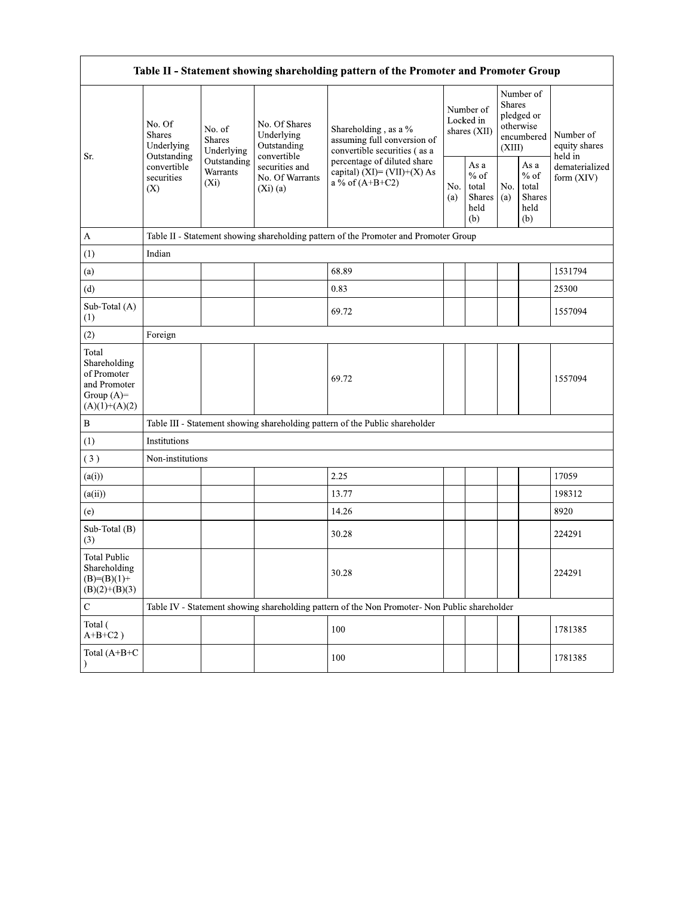| Table II - Statement showing shareholding pattern of the Promoter and Promoter Group    |                                                 |                                       |                                                             |                                                                                               |                                        |                                                         |                                                                        |                                                  |                                       |  |  |  |
|-----------------------------------------------------------------------------------------|-------------------------------------------------|---------------------------------------|-------------------------------------------------------------|-----------------------------------------------------------------------------------------------|----------------------------------------|---------------------------------------------------------|------------------------------------------------------------------------|--------------------------------------------------|---------------------------------------|--|--|--|
| Sr.                                                                                     | No. Of<br><b>Shares</b><br>Underlying           | No. of<br><b>Shares</b><br>Underlying | No. Of Shares<br>Underlying<br>Outstanding                  | Shareholding, as a %<br>assuming full conversion of<br>convertible securities (as a           | Number of<br>Locked in<br>shares (XII) |                                                         | Number of<br>Shares<br>pledged or<br>otherwise<br>encumbered<br>(XIII) |                                                  | Number of<br>equity shares<br>held in |  |  |  |
|                                                                                         | Outstanding<br>convertible<br>securities<br>(X) | Outstanding<br>Warrants<br>$(X_i)$    | convertible<br>securities and<br>No. Of Warrants<br>(Xi)(a) | percentage of diluted share<br>capital) $(XI) = (VII)+(X) As$<br>a % of $(A+B+C2)$            | No.<br>(a)                             | As a<br>$%$ of<br>total<br><b>Shares</b><br>held<br>(b) | No.<br>(a)                                                             | As a<br>$%$ of<br>total<br>Shares<br>held<br>(b) | dematerialized<br>form (XIV)          |  |  |  |
| $\boldsymbol{\mathsf{A}}$                                                               |                                                 |                                       |                                                             | Table II - Statement showing shareholding pattern of the Promoter and Promoter Group          |                                        |                                                         |                                                                        |                                                  |                                       |  |  |  |
| (1)                                                                                     | Indian                                          |                                       |                                                             |                                                                                               |                                        |                                                         |                                                                        |                                                  |                                       |  |  |  |
| (a)                                                                                     |                                                 |                                       |                                                             | 68.89                                                                                         |                                        |                                                         |                                                                        |                                                  | 1531794                               |  |  |  |
| (d)                                                                                     |                                                 |                                       |                                                             | 0.83                                                                                          |                                        |                                                         |                                                                        |                                                  | 25300                                 |  |  |  |
| Sub-Total (A)<br>(1)                                                                    |                                                 |                                       |                                                             | 69.72                                                                                         |                                        |                                                         |                                                                        |                                                  | 1557094                               |  |  |  |
| (2)                                                                                     | Foreign                                         |                                       |                                                             |                                                                                               |                                        |                                                         |                                                                        |                                                  |                                       |  |  |  |
| Total<br>Shareholding<br>of Promoter<br>and Promoter<br>Group $(A)=$<br>$(A)(1)+(A)(2)$ |                                                 |                                       |                                                             | 69.72                                                                                         |                                        |                                                         |                                                                        |                                                  | 1557094                               |  |  |  |
| $\, {\bf B}$                                                                            |                                                 |                                       |                                                             | Table III - Statement showing shareholding pattern of the Public shareholder                  |                                        |                                                         |                                                                        |                                                  |                                       |  |  |  |
| (1)                                                                                     | Institutions                                    |                                       |                                                             |                                                                                               |                                        |                                                         |                                                                        |                                                  |                                       |  |  |  |
| (3)                                                                                     | Non-institutions                                |                                       |                                                             |                                                                                               |                                        |                                                         |                                                                        |                                                  |                                       |  |  |  |
| (a(i))                                                                                  |                                                 |                                       |                                                             | 2.25                                                                                          |                                        |                                                         |                                                                        |                                                  | 17059                                 |  |  |  |
| (a(ii))                                                                                 |                                                 |                                       |                                                             | 13.77                                                                                         |                                        |                                                         |                                                                        |                                                  | 198312                                |  |  |  |
| (e)                                                                                     |                                                 |                                       |                                                             | 14.26                                                                                         |                                        |                                                         |                                                                        |                                                  | 8920                                  |  |  |  |
| Sub-Total (B)<br>(3)                                                                    |                                                 |                                       |                                                             | 30.28                                                                                         |                                        |                                                         |                                                                        |                                                  | 224291                                |  |  |  |
| <b>Total Public</b><br>Shareholding<br>$(B)=(B)(1)+$<br>$(B)(2)+(B)(3)$                 |                                                 |                                       |                                                             | 30.28                                                                                         |                                        |                                                         |                                                                        |                                                  | 224291                                |  |  |  |
| $\mathbf C$                                                                             |                                                 |                                       |                                                             | Table IV - Statement showing shareholding pattern of the Non Promoter- Non Public shareholder |                                        |                                                         |                                                                        |                                                  |                                       |  |  |  |
| Total (<br>$A+B+C2$ )                                                                   |                                                 |                                       |                                                             | 100                                                                                           |                                        |                                                         |                                                                        |                                                  | 1781385                               |  |  |  |
| Total (A+B+C                                                                            |                                                 |                                       |                                                             | 100                                                                                           |                                        |                                                         |                                                                        |                                                  | 1781385                               |  |  |  |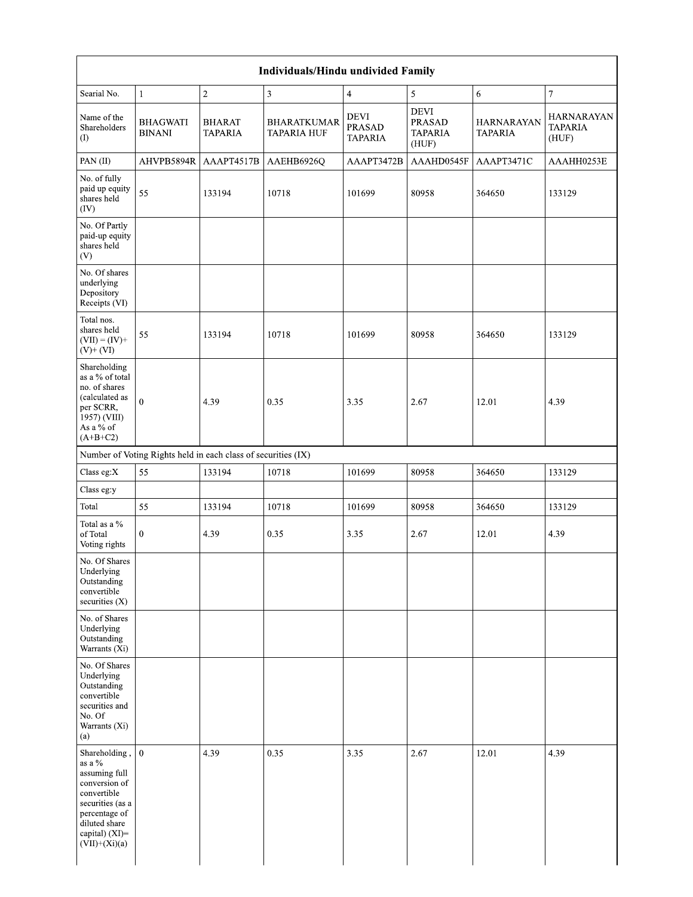| Searial No.                                                                                                                                                                            | $\mathbf{1}$                                                  | $\sqrt{2}$                      | $\mathbf{3}$                             | $\overline{4}$                          | $\sqrt{5}$                                              | 6                                   | $\boldsymbol{7}$                             |
|----------------------------------------------------------------------------------------------------------------------------------------------------------------------------------------|---------------------------------------------------------------|---------------------------------|------------------------------------------|-----------------------------------------|---------------------------------------------------------|-------------------------------------|----------------------------------------------|
| Name of the<br>Shareholders<br>(1)                                                                                                                                                     | <b>BHAGWATI</b><br><b>BINANI</b>                              | <b>BHARAT</b><br><b>TAPARIA</b> | <b>BHARATKUMAR</b><br><b>TAPARIA HUF</b> | DEVI<br><b>PRASAD</b><br><b>TAPARIA</b> | <b>DEVI</b><br><b>PRASAD</b><br><b>TAPARIA</b><br>(HUF) | <b>HARNARAYAN</b><br><b>TAPARIA</b> | <b>HARNARAYAN</b><br><b>TAPARIA</b><br>(HUF) |
| PAN(II)                                                                                                                                                                                | AHVPB5894R                                                    | AAAPT4517B                      | AAEHB6926Q                               | AAAPT3472B                              | AAAHD0545F                                              | AAAPT3471C                          | AAAHH0253E                                   |
| No. of fully<br>paid up equity<br>shares held<br>(IV)                                                                                                                                  | 55                                                            | 133194                          | 10718                                    | 101699                                  | 80958                                                   | 364650                              | 133129                                       |
| No. Of Partly<br>paid-up equity<br>shares held<br>(V)                                                                                                                                  |                                                               |                                 |                                          |                                         |                                                         |                                     |                                              |
| No. Of shares<br>underlying<br>Depository<br>Receipts (VI)                                                                                                                             |                                                               |                                 |                                          |                                         |                                                         |                                     |                                              |
| Total nos.<br>shares held<br>$(VII) = (IV) +$<br>$(V)+(VI)$                                                                                                                            | 55                                                            | 133194                          | 10718                                    | 101699                                  | 80958                                                   | 364650                              | 133129                                       |
| Shareholding<br>as a $\%$ of total<br>no. of shares<br>(calculated as<br>per SCRR,<br>1957) (VIII)<br>As a % of<br>$(A+B+C2)$                                                          | $\theta$                                                      | 4.39                            | 0.35                                     | 3.35                                    | 2.67                                                    | 12.01                               | 4.39                                         |
|                                                                                                                                                                                        | Number of Voting Rights held in each class of securities (IX) |                                 |                                          |                                         |                                                         |                                     |                                              |
| Class eg: $X$                                                                                                                                                                          | 55                                                            | 133194                          | 10718                                    | 101699                                  | 80958                                                   | 364650                              | 133129                                       |
| Class eg:y                                                                                                                                                                             |                                                               |                                 |                                          |                                         |                                                         |                                     |                                              |
| Total                                                                                                                                                                                  | 55                                                            | 133194                          | 10718                                    | 101699                                  | 80958                                                   | 364650                              | 133129                                       |
| Total as a $\%$<br>of Total<br>Voting rights                                                                                                                                           | $\mathbf{0}$                                                  | 4.39                            | 0.35                                     | 3.35                                    | 2.67                                                    | 12.01                               | 4.39                                         |
| No. Of Shares<br>Underlying<br>Outstanding<br>convertible<br>securities $(X)$                                                                                                          |                                                               |                                 |                                          |                                         |                                                         |                                     |                                              |
| No. of Shares<br>Underlying<br>Outstanding<br>Warrants (Xi)                                                                                                                            |                                                               |                                 |                                          |                                         |                                                         |                                     |                                              |
| No. Of Shares<br>Underlying<br>Outstanding<br>convertible<br>securities and<br>No. Of<br>Warrants (Xi)<br>(a)                                                                          |                                                               |                                 |                                          |                                         |                                                         |                                     |                                              |
| Shareholding, $\vert 0 \vert$<br>as a $\%$<br>assuming full<br>conversion of<br>convertible<br>securities (as a<br>percentage of<br>diluted share<br>capital) (XI)=<br>$(VII)+(Xi)(a)$ |                                                               | 4.39                            | 0.35                                     | 3.35                                    | 2.67                                                    | 12.01                               | 4.39                                         |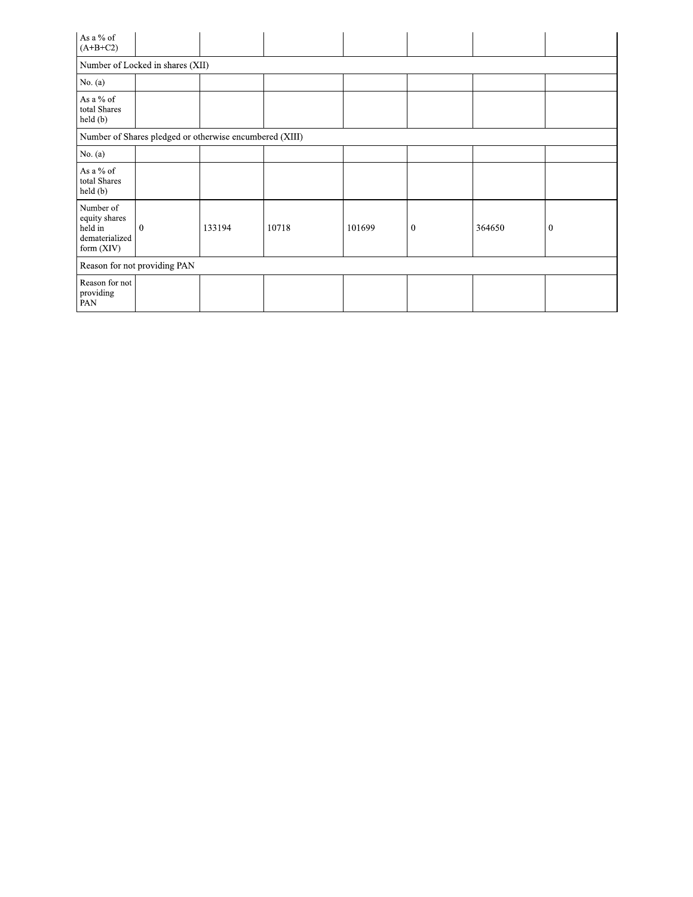| As a % of<br>$(A+B+C2)$                                               |                                  |                                                         |       |        |          |        |              |
|-----------------------------------------------------------------------|----------------------------------|---------------------------------------------------------|-------|--------|----------|--------|--------------|
|                                                                       | Number of Locked in shares (XII) |                                                         |       |        |          |        |              |
| No. (a)                                                               |                                  |                                                         |       |        |          |        |              |
| As a % of<br>total Shares<br>held(b)                                  |                                  |                                                         |       |        |          |        |              |
|                                                                       |                                  | Number of Shares pledged or otherwise encumbered (XIII) |       |        |          |        |              |
| No. (a)                                                               |                                  |                                                         |       |        |          |        |              |
| As a % of<br>total Shares<br>held(b)                                  |                                  |                                                         |       |        |          |        |              |
| Number of<br>equity shares<br>held in<br>dematerialized<br>form (XIV) | $\theta$                         | 133194                                                  | 10718 | 101699 | $\theta$ | 364650 | $\mathbf{0}$ |
|                                                                       | Reason for not providing PAN     |                                                         |       |        |          |        |              |
| Reason for not<br>providing<br>PAN                                    |                                  |                                                         |       |        |          |        |              |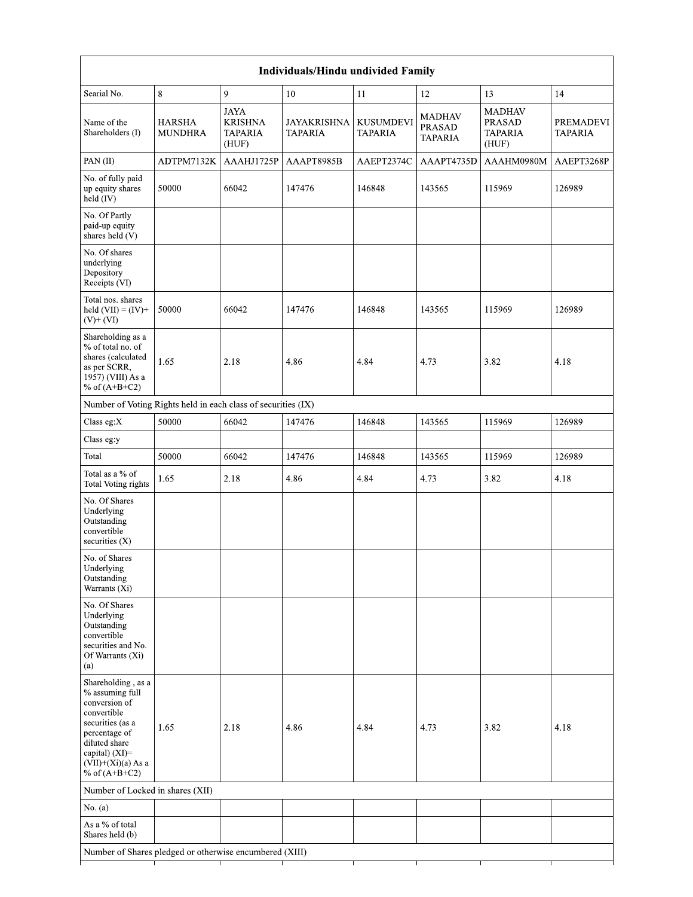| Individuals/Hindu undivided Family                                                                                                                                                       |                                 |                                                          |                        |                                    |                                           |                                             |                                    |  |  |  |  |  |
|------------------------------------------------------------------------------------------------------------------------------------------------------------------------------------------|---------------------------------|----------------------------------------------------------|------------------------|------------------------------------|-------------------------------------------|---------------------------------------------|------------------------------------|--|--|--|--|--|
| Searial No.                                                                                                                                                                              | 8                               | 9                                                        | 10                     | 11                                 | 12                                        | 13                                          | 14                                 |  |  |  |  |  |
| Name of the<br>Shareholders (I)                                                                                                                                                          | <b>HARSHA</b><br><b>MUNDHRA</b> | <b>JAYA</b><br><b>KRISHNA</b><br><b>TAPARIA</b><br>(HUF) | JAYAKRISHNA<br>TAPARIA | <b>KUSUMDEVI</b><br><b>TAPARIA</b> | MADHAV<br><b>PRASAD</b><br><b>TAPARIA</b> | MADHAV<br>PRASAD<br><b>TAPARIA</b><br>(HUF) | <b>PREMADEVI</b><br><b>TAPARIA</b> |  |  |  |  |  |
| PAN(II)                                                                                                                                                                                  | ADTPM7132K                      | AAAHJ1725P                                               | AAAPT8985B             | AAEPT2374C                         | AAAPT4735D                                | AAAHM0980M                                  | AAEPT3268P                         |  |  |  |  |  |
| No. of fully paid<br>up equity shares<br>held (IV)                                                                                                                                       | 50000                           | 66042                                                    | 147476                 | 146848                             | 143565                                    | 115969                                      | 126989                             |  |  |  |  |  |
| No. Of Partly<br>paid-up equity<br>shares held (V)                                                                                                                                       |                                 |                                                          |                        |                                    |                                           |                                             |                                    |  |  |  |  |  |
| No. Of shares<br>underlying<br>Depository<br>Receipts (VI)                                                                                                                               |                                 |                                                          |                        |                                    |                                           |                                             |                                    |  |  |  |  |  |
| Total nos. shares<br>held $(VII) = (IV) +$<br>$(V)$ + $(VI)$                                                                                                                             | 50000                           | 66042                                                    | 147476                 | 146848                             | 143565                                    | 115969                                      | 126989                             |  |  |  |  |  |
| Shareholding as a<br>% of total no. of<br>shares (calculated<br>as per SCRR,<br>1957) (VIII) As a<br>% of $(A+B+C2)$                                                                     | 1.65                            | 2.18                                                     | 4.86                   | 4.84                               | 4.73                                      | 3.82                                        | 4.18                               |  |  |  |  |  |
| Number of Voting Rights held in each class of securities (IX)                                                                                                                            |                                 |                                                          |                        |                                    |                                           |                                             |                                    |  |  |  |  |  |
| Class eg:X                                                                                                                                                                               | 50000                           | 66042                                                    | 147476                 | 146848                             | 143565                                    | 115969                                      | 126989                             |  |  |  |  |  |
| Class eg:y                                                                                                                                                                               |                                 |                                                          |                        |                                    |                                           |                                             |                                    |  |  |  |  |  |
| Total                                                                                                                                                                                    | 50000                           | 66042                                                    | 147476                 | 146848                             | 143565                                    | 115969                                      | 126989                             |  |  |  |  |  |
| Total as a % of<br>Total Voting rights                                                                                                                                                   | 1.65                            | 2.18                                                     | 4.86                   | 4.84                               | 4.73                                      | 3.82                                        | 4.18                               |  |  |  |  |  |
| No. Of Shares<br>Underlying<br>Outstanding<br>convertible<br>securities $(X)$                                                                                                            |                                 |                                                          |                        |                                    |                                           |                                             |                                    |  |  |  |  |  |
| No. of Shares<br>Underlying<br>Outstanding<br>Warrants (Xi)                                                                                                                              |                                 |                                                          |                        |                                    |                                           |                                             |                                    |  |  |  |  |  |
| No. Of Shares<br>Underlying<br>Outstanding<br>convertible<br>securities and No.<br>Of Warrants (Xi)<br>(a)                                                                               |                                 |                                                          |                        |                                    |                                           |                                             |                                    |  |  |  |  |  |
| Shareholding, as a<br>% assuming full<br>conversion of<br>convertible<br>securities (as a<br>percentage of<br>diluted share<br>capital) (XI)=<br>$(VII)+(Xi)(a)$ As a<br>% of $(A+B+C2)$ | 1.65                            | 2.18                                                     | 4.86                   | 4.84                               | 4.73                                      | 3.82                                        | 4.18                               |  |  |  |  |  |
| Number of Locked in shares (XII)                                                                                                                                                         |                                 |                                                          |                        |                                    |                                           |                                             |                                    |  |  |  |  |  |
| No. $(a)$                                                                                                                                                                                |                                 |                                                          |                        |                                    |                                           |                                             |                                    |  |  |  |  |  |
| As a % of total<br>Shares held (b)                                                                                                                                                       |                                 |                                                          |                        |                                    |                                           |                                             |                                    |  |  |  |  |  |
| Number of Shares pledged or otherwise encumbered (XIII)                                                                                                                                  |                                 |                                                          |                        |                                    |                                           |                                             |                                    |  |  |  |  |  |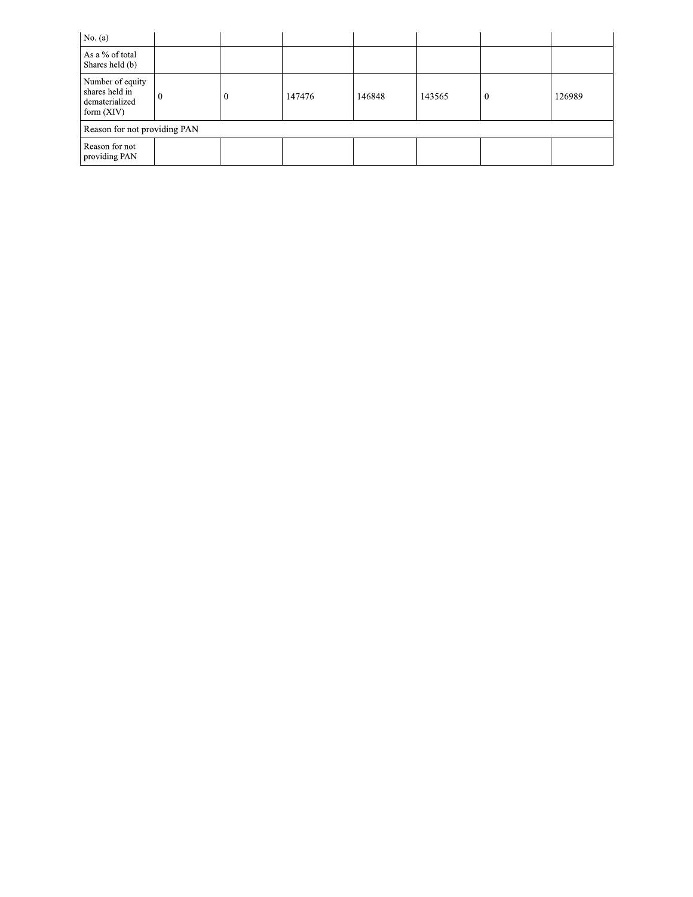| No. (a)                                                              |          |        |        |        |        |
|----------------------------------------------------------------------|----------|--------|--------|--------|--------|
| As a % of total<br>Shares held (b)                                   |          |        |        |        |        |
| Number of equity<br>shares held in<br>dematerialized<br>form $(XIV)$ | $\theta$ | 147476 | 146848 | 143565 | 126989 |
| Reason for not providing PAN                                         |          |        |        |        |        |
| Reason for not<br>providing PAN                                      |          |        |        |        |        |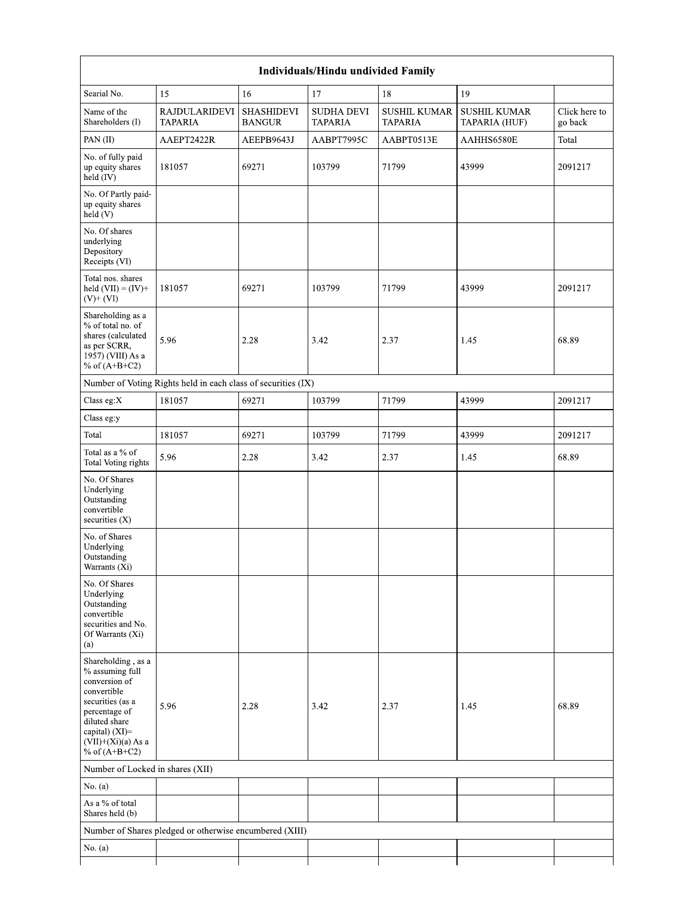| Searial No.                                                                                                                                                                              | 15                                                            | 16                                 | 17                           | 18                                    | 19                                   |                          |
|------------------------------------------------------------------------------------------------------------------------------------------------------------------------------------------|---------------------------------------------------------------|------------------------------------|------------------------------|---------------------------------------|--------------------------------------|--------------------------|
| Name of the<br>Shareholders (I)                                                                                                                                                          | <b>RAJDULARIDEVI</b><br><b>TAPARIA</b>                        | <b>SHASHIDEVI</b><br><b>BANGUR</b> | SUDHA DEVI<br><b>TAPARIA</b> | <b>SUSHIL KUMAR</b><br><b>TAPARIA</b> | <b>SUSHIL KUMAR</b><br>TAPARIA (HUF) | Click here to<br>go back |
| PAN(II)                                                                                                                                                                                  | AAEPT2422R                                                    | AEEPB9643J                         | AABPT7995C                   | AABPT0513E                            | AAHHS6580E                           | Total                    |
| No. of fully paid<br>up equity shares<br>$held$ (IV)                                                                                                                                     | 181057                                                        | 69271                              | 103799                       | 71799                                 | 43999                                | 2091217                  |
| No. Of Partly paid-<br>up equity shares<br>held(V)                                                                                                                                       |                                                               |                                    |                              |                                       |                                      |                          |
| No. Of shares<br>underlying<br>Depository<br>Receipts (VI)                                                                                                                               |                                                               |                                    |                              |                                       |                                      |                          |
| Total nos. shares<br>held $(VII) = (IV) +$<br>$(V)$ + $(VI)$                                                                                                                             | 181057                                                        | 69271                              | 103799                       | 71799                                 | 43999                                | 2091217                  |
| Shareholding as a<br>% of total no. of<br>shares (calculated<br>as per SCRR,<br>1957) (VIII) As a<br>% of $(A+B+C2)$                                                                     | 5.96                                                          | 2.28                               | 3.42                         | 2.37                                  | 1.45                                 | 68.89                    |
|                                                                                                                                                                                          | Number of Voting Rights held in each class of securities (IX) |                                    |                              |                                       |                                      |                          |
| Class eg: $X$                                                                                                                                                                            | 181057                                                        | 69271                              | 103799                       | 71799                                 | 43999                                | 2091217                  |
| Class eg:y                                                                                                                                                                               |                                                               |                                    |                              |                                       |                                      |                          |
| Total                                                                                                                                                                                    | 181057                                                        | 69271                              | 103799                       | 71799                                 | 43999                                | 2091217                  |
| Total as a % of<br>Total Voting rights                                                                                                                                                   | 5.96                                                          | 2.28                               | 3.42                         | 2.37                                  | 1.45                                 | 68.89                    |
| No. Of Shares<br>Underlying<br>Outstanding<br>convertible<br>securities (X)                                                                                                              |                                                               |                                    |                              |                                       |                                      |                          |
| No. of Shares<br>Underlying<br>Outstanding<br>Warrants (Xi)                                                                                                                              |                                                               |                                    |                              |                                       |                                      |                          |
| No. Of Shares<br>Underlying<br>Outstanding<br>convertible<br>securities and No.<br>Of Warrants (Xi)<br>(a)                                                                               |                                                               |                                    |                              |                                       |                                      |                          |
| Shareholding, as a<br>% assuming full<br>conversion of<br>convertible<br>securities (as a<br>percentage of<br>diluted share<br>capital) (XI)=<br>$(VII)+(Xi)(a)$ As a<br>% of $(A+B+C2)$ | 5.96                                                          | 2.28                               | 3.42                         | 2.37                                  | 1.45                                 | 68.89                    |
| Number of Locked in shares (XII)                                                                                                                                                         |                                                               |                                    |                              |                                       |                                      |                          |
| No. $(a)$                                                                                                                                                                                |                                                               |                                    |                              |                                       |                                      |                          |
| As a % of total<br>Shares held (b)                                                                                                                                                       |                                                               |                                    |                              |                                       |                                      |                          |
|                                                                                                                                                                                          | Number of Shares pledged or otherwise encumbered (XIII)       |                                    |                              |                                       |                                      |                          |
| No. $(a)$                                                                                                                                                                                |                                                               |                                    |                              |                                       |                                      |                          |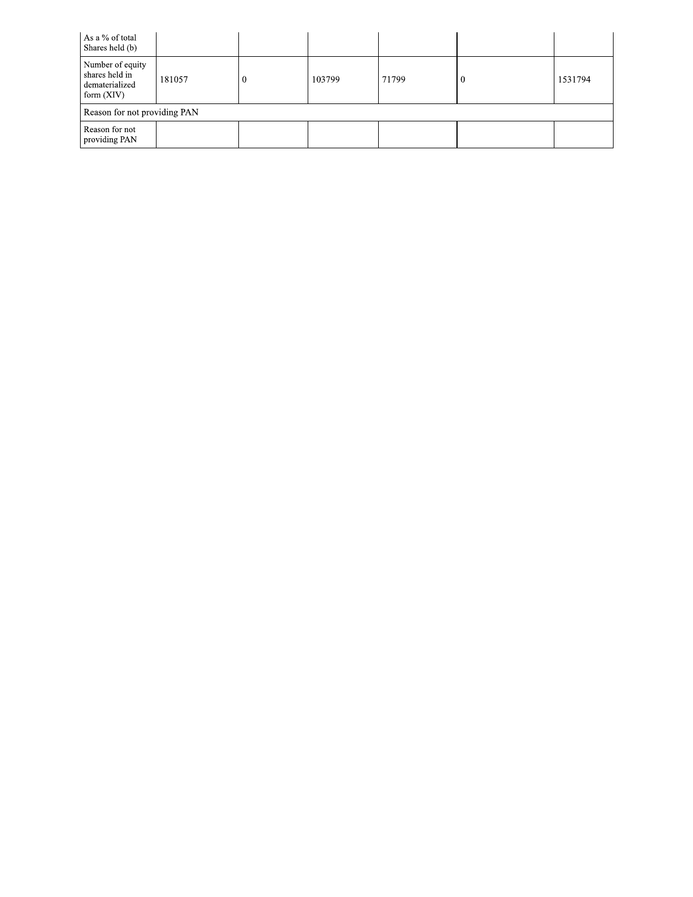| As a % of total<br>Shares held (b)                                   |        |        |       |         |
|----------------------------------------------------------------------|--------|--------|-------|---------|
| Number of equity<br>shares held in<br>dematerialized<br>form $(XIV)$ | 181057 | 103799 | 71799 | 1531794 |
| Reason for not providing PAN                                         |        |        |       |         |
| Reason for not<br>providing PAN                                      |        |        |       |         |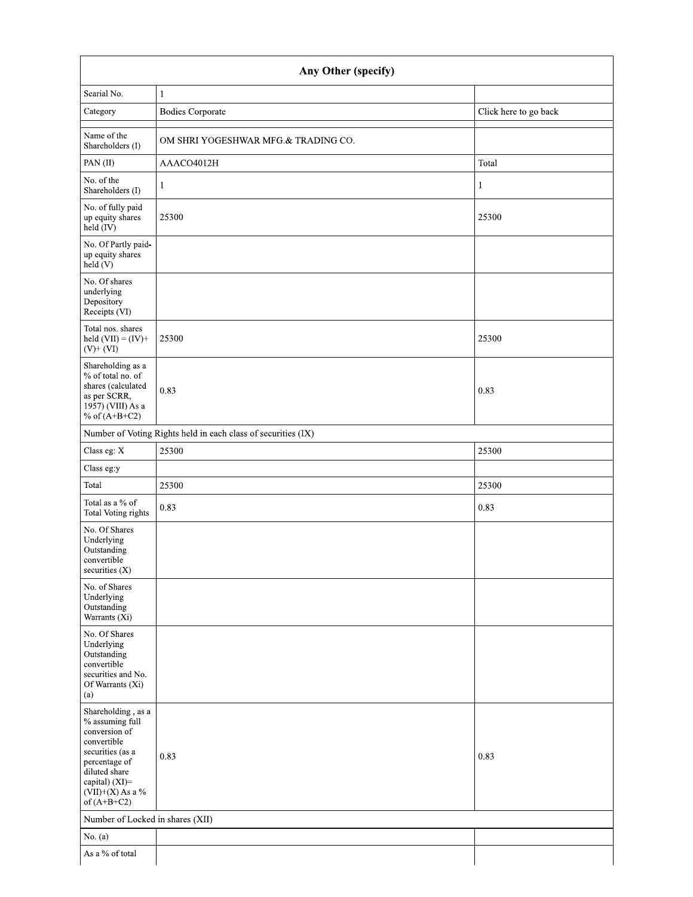| Any Other (specify)                                                                                                                                                                |                                                               |                       |  |  |  |  |  |
|------------------------------------------------------------------------------------------------------------------------------------------------------------------------------------|---------------------------------------------------------------|-----------------------|--|--|--|--|--|
| Searial No.                                                                                                                                                                        | $\mathbf{1}$                                                  |                       |  |  |  |  |  |
| Category                                                                                                                                                                           | <b>Bodies Corporate</b>                                       | Click here to go back |  |  |  |  |  |
| Name of the<br>Shareholders (I)                                                                                                                                                    | OM SHRI YOGESHWAR MFG.& TRADING CO.                           |                       |  |  |  |  |  |
| PAN(II)                                                                                                                                                                            | AAACO4012H                                                    | Total                 |  |  |  |  |  |
| No. of the<br>Shareholders (I)                                                                                                                                                     | $\mathbf{1}$                                                  | 1                     |  |  |  |  |  |
| No. of fully paid<br>up equity shares<br>held (IV)                                                                                                                                 | 25300                                                         | 25300                 |  |  |  |  |  |
| No. Of Partly paid-<br>up equity shares<br>held (V)                                                                                                                                |                                                               |                       |  |  |  |  |  |
| No. Of shares<br>underlying<br>Depository<br>Receipts (VI)                                                                                                                         |                                                               |                       |  |  |  |  |  |
| Total nos. shares<br>held $(VII) = (IV) +$<br>$(V)$ + $(VI)$                                                                                                                       | 25300                                                         | 25300                 |  |  |  |  |  |
| Shareholding as a<br>% of total no. of<br>shares (calculated<br>as per SCRR,<br>1957) (VIII) As a<br>% of $(A+B+C2)$                                                               | 0.83                                                          | 0.83                  |  |  |  |  |  |
|                                                                                                                                                                                    | Number of Voting Rights held in each class of securities (IX) |                       |  |  |  |  |  |
| Class eg: X                                                                                                                                                                        | 25300                                                         | 25300                 |  |  |  |  |  |
| Class eg:y                                                                                                                                                                         |                                                               |                       |  |  |  |  |  |
| Total                                                                                                                                                                              | 25300                                                         | 25300                 |  |  |  |  |  |
| Total as a % of<br>Total Voting rights                                                                                                                                             | 0.83                                                          | 0.83                  |  |  |  |  |  |
| No. Of Shares<br>Underlying<br>Outstanding<br>convertible<br>securities (X)                                                                                                        |                                                               |                       |  |  |  |  |  |
| No. of Shares<br>Underlying<br>Outstanding<br>Warrants (Xi)                                                                                                                        |                                                               |                       |  |  |  |  |  |
| No. Of Shares<br>Underlying<br>Outstanding<br>convertible<br>securities and No.<br>Of Warrants (Xi)<br>(a)                                                                         |                                                               |                       |  |  |  |  |  |
| Shareholding, as a<br>% assuming full<br>conversion of<br>convertible<br>securities (as a<br>percentage of<br>diluted share<br>capital) (XI)=<br>(VII)+(X) As a %<br>of $(A+B+C2)$ | 0.83                                                          | 0.83                  |  |  |  |  |  |
| Number of Locked in shares (XII)                                                                                                                                                   |                                                               |                       |  |  |  |  |  |
| No. $(a)$                                                                                                                                                                          |                                                               |                       |  |  |  |  |  |
| As a % of total                                                                                                                                                                    |                                                               |                       |  |  |  |  |  |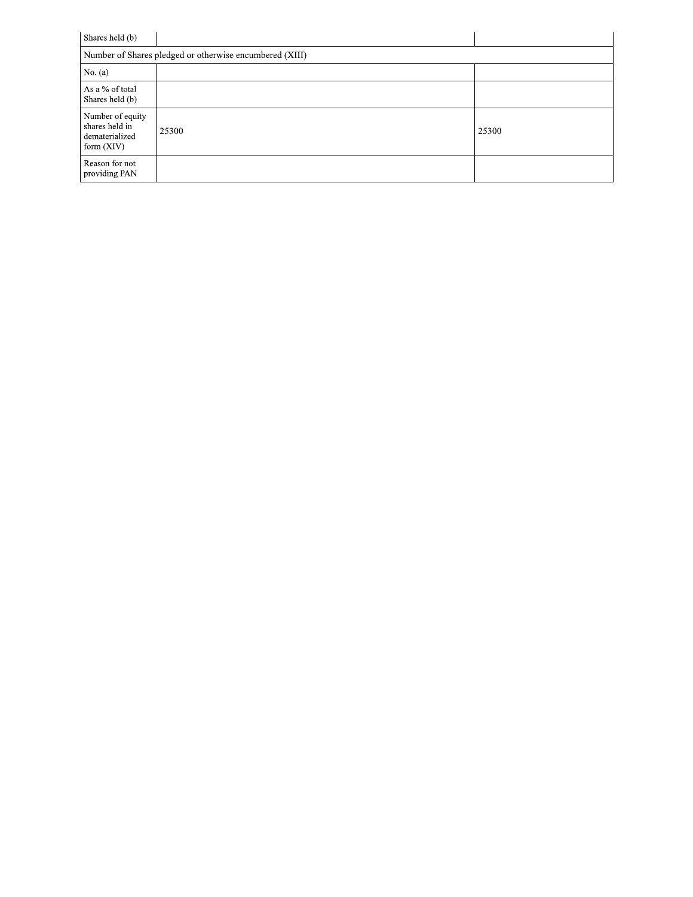| Shares held (b)                                                      |       |       |  |  |  |  |
|----------------------------------------------------------------------|-------|-------|--|--|--|--|
| Number of Shares pledged or otherwise encumbered (XIII)              |       |       |  |  |  |  |
| No. $(a)$                                                            |       |       |  |  |  |  |
| As a % of total<br>Shares held (b)                                   |       |       |  |  |  |  |
| Number of equity<br>shares held in<br>dematerialized<br>form $(XIV)$ | 25300 | 25300 |  |  |  |  |
| Reason for not<br>providing PAN                                      |       |       |  |  |  |  |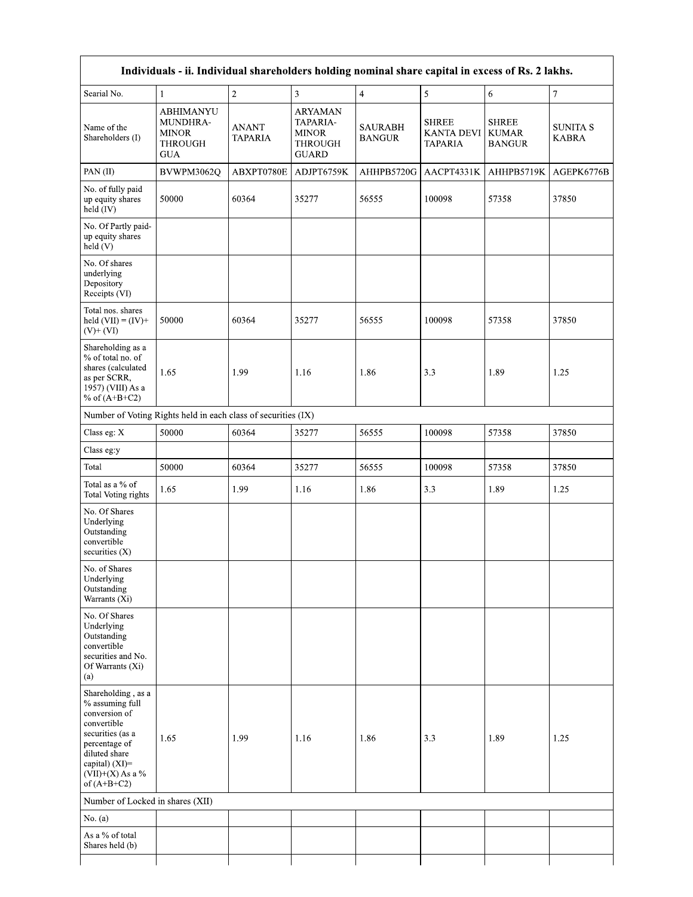| Individuals - ii. Individual shareholders holding nominal share capital in excess of Rs. 2 lakhs.                                                                                       |                                                                       |                         |                                                                              |                          |                                                     |                                               |                                 |
|-----------------------------------------------------------------------------------------------------------------------------------------------------------------------------------------|-----------------------------------------------------------------------|-------------------------|------------------------------------------------------------------------------|--------------------------|-----------------------------------------------------|-----------------------------------------------|---------------------------------|
| Searial No.                                                                                                                                                                             | 1                                                                     | $\overline{2}$          | $\overline{3}$                                                               | $\overline{4}$           | 5                                                   | 6                                             | $\boldsymbol{7}$                |
| Name of the<br>Shareholders (I)                                                                                                                                                         | <b>ABHIMANYU</b><br>MUNDHRA-<br><b>MINOR</b><br><b>THROUGH</b><br>GUA | ANANT<br><b>TAPARIA</b> | <b>ARYAMAN</b><br>TAPARIA-<br><b>MINOR</b><br><b>THROUGH</b><br><b>GUARD</b> | SAURABH<br><b>BANGUR</b> | <b>SHREE</b><br><b>KANTA DEVI</b><br><b>TAPARIA</b> | <b>SHREE</b><br><b>KUMAR</b><br><b>BANGUR</b> | <b>SUNITA S</b><br><b>KABRA</b> |
| PAN(II)                                                                                                                                                                                 | BVWPM3062Q                                                            | ABXPT0780E              | ADJPT6759K                                                                   | AHHPB5720G               | AACPT4331K                                          | AHHPB5719K                                    | AGEPK6776B                      |
| No. of fully paid<br>up equity shares<br>held (IV)                                                                                                                                      | 50000                                                                 | 60364                   | 35277                                                                        | 56555                    | 100098                                              | 57358                                         | 37850                           |
| No. Of Partly paid-<br>up equity shares<br>held(V)                                                                                                                                      |                                                                       |                         |                                                                              |                          |                                                     |                                               |                                 |
| No. Of shares<br>underlying<br>Depository<br>Receipts (VI)                                                                                                                              |                                                                       |                         |                                                                              |                          |                                                     |                                               |                                 |
| Total nos. shares<br>held $(VII) = (IV) +$<br>$(V)$ + $(VI)$                                                                                                                            | 50000                                                                 | 60364                   | 35277                                                                        | 56555                    | 100098                                              | 57358                                         | 37850                           |
| Shareholding as a<br>% of total no. of<br>shares (calculated<br>as per SCRR,<br>1957) (VIII) As a<br>% of $(A+B+C2)$                                                                    | 1.65                                                                  | 1.99                    | 1.16                                                                         | 1.86                     | 3.3                                                 | 1.89                                          | 1.25                            |
| Number of Voting Rights held in each class of securities (IX)                                                                                                                           |                                                                       |                         |                                                                              |                          |                                                     |                                               |                                 |
| Class eg: $\mathbf X$                                                                                                                                                                   | 50000                                                                 | 60364                   | 35277                                                                        | 56555                    | 100098                                              | 57358                                         | 37850                           |
| Class eg:y                                                                                                                                                                              |                                                                       |                         |                                                                              |                          |                                                     |                                               |                                 |
| Total                                                                                                                                                                                   | 50000                                                                 | 60364                   | 35277                                                                        | 56555                    | 100098                                              | 57358                                         | 37850                           |
| Total as a % of<br><b>Total Voting rights</b>                                                                                                                                           | 1.65                                                                  | 1.99                    | 1.16                                                                         | 1.86                     | 3.3                                                 | 1.89                                          | 1.25                            |
| No. Of Shares<br>Underlying<br>Outstanding<br>convertible<br>securities $(X)$                                                                                                           |                                                                       |                         |                                                                              |                          |                                                     |                                               |                                 |
| No. of Shares<br>Underlying<br>Outstanding<br>Warrants (Xi)                                                                                                                             |                                                                       |                         |                                                                              |                          |                                                     |                                               |                                 |
| No. Of Shares<br>Underlying<br>Outstanding<br>convertible<br>securities and No.<br>Of Warrants (Xi)<br>(a)                                                                              |                                                                       |                         |                                                                              |                          |                                                     |                                               |                                 |
| Shareholding, as a<br>% assuming full<br>conversion of<br>convertible<br>securities (as a<br>percentage of<br>diluted share<br>capital) $(XI)$ =<br>$(VII)+(X)$ As a %<br>of $(A+B+C2)$ | 1.65                                                                  | 1.99                    | 1.16                                                                         | 1.86                     | 3.3                                                 | 1.89                                          | 1.25                            |
| Number of Locked in shares (XII)                                                                                                                                                        |                                                                       |                         |                                                                              |                          |                                                     |                                               |                                 |
| No. $(a)$                                                                                                                                                                               |                                                                       |                         |                                                                              |                          |                                                     |                                               |                                 |
| As a % of total<br>Shares held (b)                                                                                                                                                      |                                                                       |                         |                                                                              |                          |                                                     |                                               |                                 |
|                                                                                                                                                                                         |                                                                       |                         |                                                                              |                          |                                                     |                                               |                                 |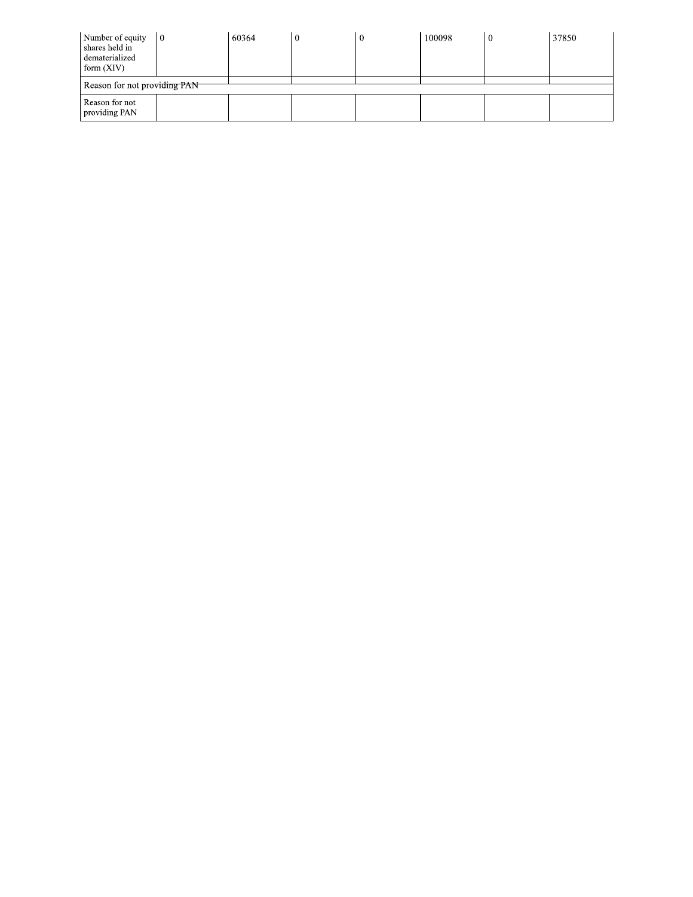| Number of equity<br>shares held in<br>dematerialized<br>form $(XIV)$ | $\overline{0}$ | 60364 | $\boldsymbol{0}$ | 100098 | 37850 |
|----------------------------------------------------------------------|----------------|-------|------------------|--------|-------|
| Reason for not providing PAN                                         |                |       |                  |        |       |
| Reason for not<br>providing PAN                                      |                |       |                  |        |       |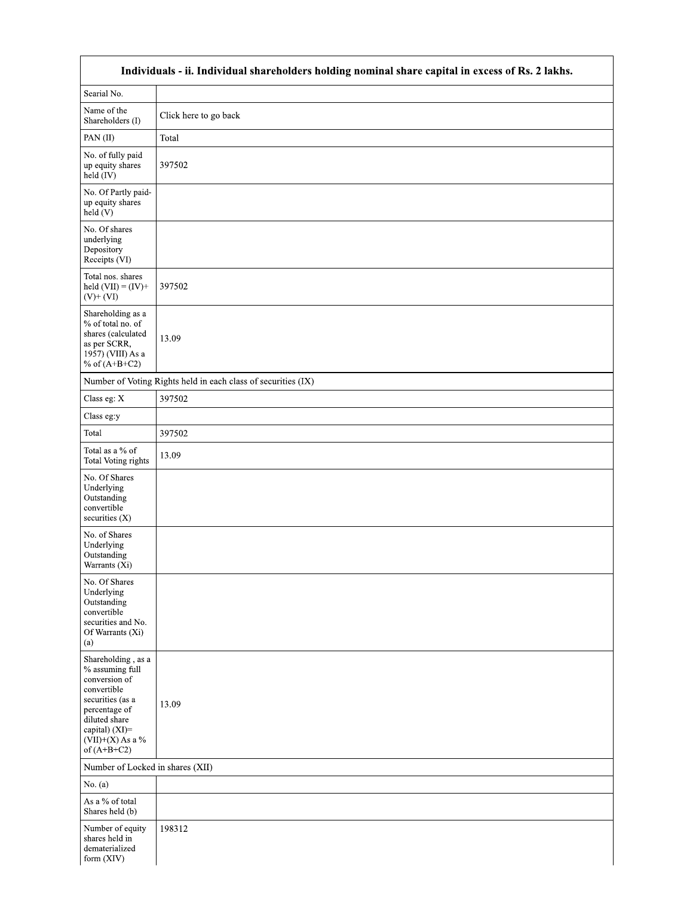|                                                                                                                                                                                         | Individuals - ii. Individual shareholders holding nominal share capital in excess of Rs. 2 lakhs. |  |  |  |  |  |  |
|-----------------------------------------------------------------------------------------------------------------------------------------------------------------------------------------|---------------------------------------------------------------------------------------------------|--|--|--|--|--|--|
| Searial No.                                                                                                                                                                             |                                                                                                   |  |  |  |  |  |  |
| Name of the<br>Shareholders (I)                                                                                                                                                         | Click here to go back                                                                             |  |  |  |  |  |  |
| PAN(II)                                                                                                                                                                                 | Total                                                                                             |  |  |  |  |  |  |
| No. of fully paid<br>up equity shares<br>held (IV)                                                                                                                                      | 397502                                                                                            |  |  |  |  |  |  |
| No. Of Partly paid-<br>up equity shares<br>held (V)                                                                                                                                     |                                                                                                   |  |  |  |  |  |  |
| No. Of shares<br>underlying<br>Depository<br>Receipts (VI)                                                                                                                              |                                                                                                   |  |  |  |  |  |  |
| Total nos. shares<br>held $(VII) = (IV) +$<br>$(V)$ + $(VI)$                                                                                                                            | 397502                                                                                            |  |  |  |  |  |  |
| Shareholding as a<br>% of total no. of<br>shares (calculated<br>as per SCRR,<br>1957) (VIII) As a<br>% of $(A+B+C2)$                                                                    | 13.09                                                                                             |  |  |  |  |  |  |
|                                                                                                                                                                                         | Number of Voting Rights held in each class of securities (IX)                                     |  |  |  |  |  |  |
| Class eg: X                                                                                                                                                                             | 397502                                                                                            |  |  |  |  |  |  |
| Class eg:y                                                                                                                                                                              |                                                                                                   |  |  |  |  |  |  |
| Total                                                                                                                                                                                   | 397502                                                                                            |  |  |  |  |  |  |
| Total as a % of<br>Total Voting rights                                                                                                                                                  | 13.09                                                                                             |  |  |  |  |  |  |
| No. Of Shares<br>Underlying<br>Outstanding<br>convertible<br>securities (X)                                                                                                             |                                                                                                   |  |  |  |  |  |  |
| No. of Shares<br>Underlying<br>Outstanding<br>Warrants (Xi)                                                                                                                             |                                                                                                   |  |  |  |  |  |  |
| No. Of Shares<br>Underlying<br>Outstanding<br>convertible<br>securities and No.<br>Of Warrants (Xi)<br>(a)                                                                              |                                                                                                   |  |  |  |  |  |  |
| Shareholding, as a<br>% assuming full<br>conversion of<br>convertible<br>securities (as a<br>percentage of<br>diluted share<br>capital) $(XI)$ =<br>$(VII)+(X)$ As a %<br>of $(A+B+C2)$ | 13.09                                                                                             |  |  |  |  |  |  |
|                                                                                                                                                                                         | Number of Locked in shares (XII)                                                                  |  |  |  |  |  |  |
| No. $(a)$                                                                                                                                                                               |                                                                                                   |  |  |  |  |  |  |
| As a % of total<br>Shares held (b)                                                                                                                                                      |                                                                                                   |  |  |  |  |  |  |
| Number of equity<br>shares held in<br>dematerialized<br>form (XIV)                                                                                                                      | 198312                                                                                            |  |  |  |  |  |  |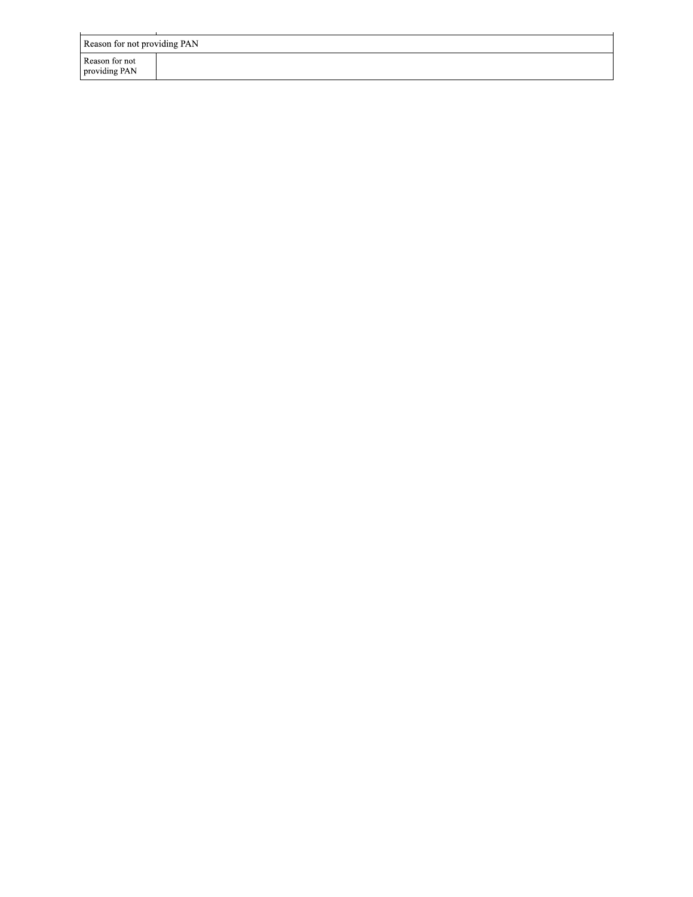| Reason for not providing PAN    |  |
|---------------------------------|--|
| Reason for not<br>providing PAN |  |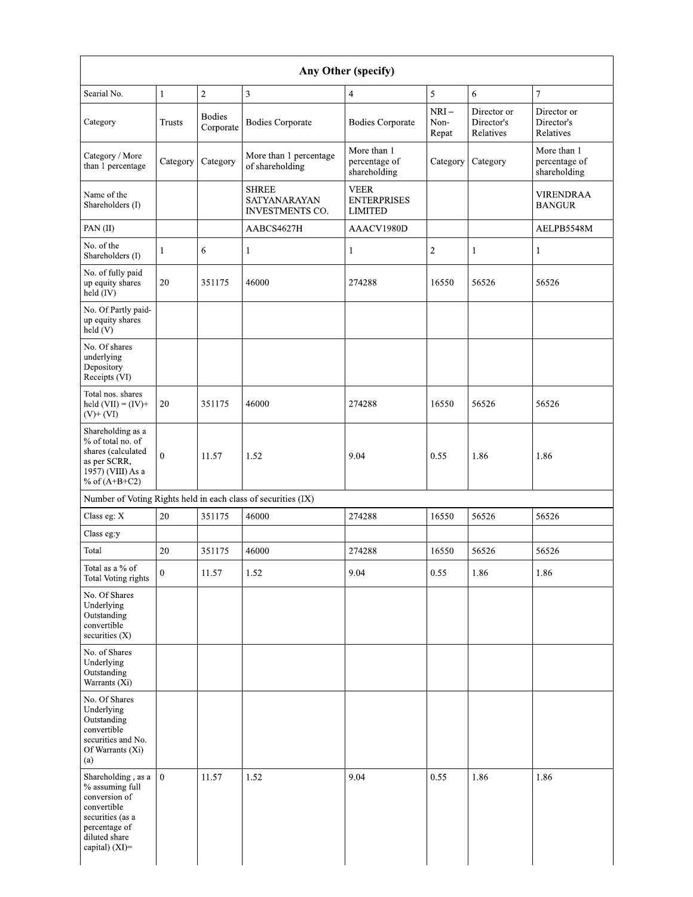| Searial No.                                                                                                                                                   | $\mathbf{1}$     | 2                          | 3                                                             | $\overline{4}$                                      | $\mathfrak{S}$          | 6                                      | $\overline{7}$                               |
|---------------------------------------------------------------------------------------------------------------------------------------------------------------|------------------|----------------------------|---------------------------------------------------------------|-----------------------------------------------------|-------------------------|----------------------------------------|----------------------------------------------|
| Category                                                                                                                                                      | <b>Trusts</b>    | <b>Bodies</b><br>Corporate | <b>Bodies Corporate</b>                                       | <b>Bodies Corporate</b>                             | $NRI-$<br>Non-<br>Repat | Director or<br>Director's<br>Relatives | Director or<br>Director's<br>Relatives       |
| Category / More<br>than 1 percentage                                                                                                                          | Category         | Category                   | More than 1 percentage<br>of shareholding                     | More than 1<br>percentage of<br>shareholding        | Category                | Category                               | More than 1<br>percentage of<br>shareholding |
| Name of the<br>Shareholders (I)                                                                                                                               |                  |                            | <b>SHREE</b><br>SATYANARAYAN<br><b>INVESTMENTS CO.</b>        | <b>VEER</b><br><b>ENTERPRISES</b><br><b>LIMITED</b> |                         |                                        | <b>VIRENDRAA</b><br><b>BANGUR</b>            |
| PAN(II)                                                                                                                                                       |                  |                            | AABCS4627H                                                    | AAACV1980D                                          |                         |                                        | AELPB5548M                                   |
| No. of the<br>Shareholders (I)                                                                                                                                | 1                | 6                          |                                                               | 1                                                   | $\sqrt{2}$              | $\mathbf{1}$                           | 1                                            |
| No. of fully paid<br>up equity shares<br>$held$ (IV)                                                                                                          | 20               | 351175                     | 46000                                                         | 274288                                              | 16550                   | 56526                                  | 56526                                        |
| No. Of Partly paid-<br>up equity shares<br>held(V)                                                                                                            |                  |                            |                                                               |                                                     |                         |                                        |                                              |
| No. Of shares<br>underlying<br>Depository<br>Receipts (VI)                                                                                                    |                  |                            |                                                               |                                                     |                         |                                        |                                              |
| Total nos. shares<br>held $(VII) = (IV) +$<br>$(V)$ + $(VI)$                                                                                                  | 20               | 351175                     | 46000                                                         | 274288                                              | 16550                   | 56526                                  | 56526                                        |
| Shareholding as a<br>% of total no. of<br>shares (calculated<br>as per SCRR,<br>1957) (VIII) As a<br>% of $(A+B+C2)$                                          | $\theta$         | 11.57                      | 1.52                                                          | 9.04                                                | 0.55                    | 1.86                                   | 1.86                                         |
|                                                                                                                                                               |                  |                            | Number of Voting Rights held in each class of securities (IX) |                                                     |                         |                                        |                                              |
| Class eg: X                                                                                                                                                   | 20               | 351175                     | 46000                                                         | 274288                                              | 16550                   | 56526                                  | 56526                                        |
| Class eg:y                                                                                                                                                    |                  |                            |                                                               |                                                     |                         |                                        |                                              |
| Total                                                                                                                                                         | 20               | 351175                     | 46000                                                         | 274288                                              | 16550                   | 56526                                  | 56526                                        |
| Total as a % of<br><b>Total Voting rights</b>                                                                                                                 | $\boldsymbol{0}$ | 11.57                      | 1.52                                                          | 9.04                                                | 0.55                    | 1.86                                   | 1.86                                         |
| No. Of Shares<br>Underlying<br>Outstanding<br>convertible<br>securities (X)                                                                                   |                  |                            |                                                               |                                                     |                         |                                        |                                              |
| No. of Shares<br>Underlying<br>Outstanding<br>Warrants (Xi)                                                                                                   |                  |                            |                                                               |                                                     |                         |                                        |                                              |
| No. Of Shares<br>Underlying<br>Outstanding<br>convertible<br>securities and No.<br>Of Warrants (Xi)<br>(a)                                                    |                  |                            |                                                               |                                                     |                         |                                        |                                              |
| Shareholding, as a $\vert 0 \vert$<br>% assuming full<br>conversion of<br>convertible<br>securities (as a<br>percentage of<br>diluted share<br>capital) (XI)= |                  | 11.57                      | 1.52                                                          | 9.04                                                | 0.55                    | 1.86                                   | 1.86                                         |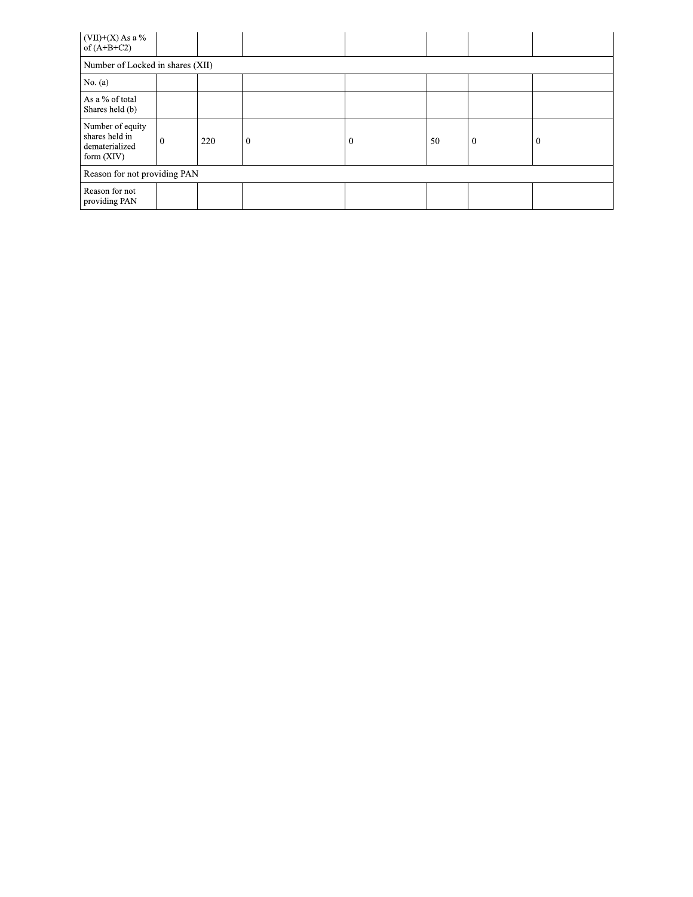| $(VII)+(X)$ As a %<br>of $(A+B+C2)$                                  |   |     |          |          |    |              |          |
|----------------------------------------------------------------------|---|-----|----------|----------|----|--------------|----------|
| Number of Locked in shares (XII)                                     |   |     |          |          |    |              |          |
| No. $(a)$                                                            |   |     |          |          |    |              |          |
| As a % of total<br>Shares held (b)                                   |   |     |          |          |    |              |          |
| Number of equity<br>shares held in<br>dematerialized<br>form $(XIV)$ | 0 | 220 | $\theta$ | $\theta$ | 50 | $\mathbf{0}$ | $\Omega$ |
| Reason for not providing PAN                                         |   |     |          |          |    |              |          |
| Reason for not<br>providing PAN                                      |   |     |          |          |    |              |          |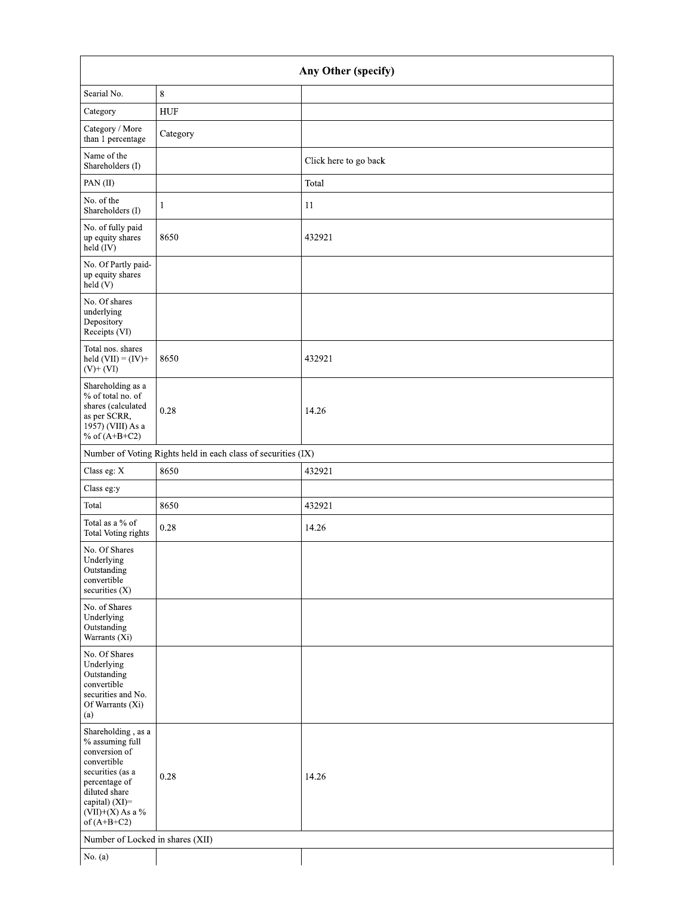| Any Other (specify)                                                                                                                                                                  |                                                               |                       |  |  |  |  |
|--------------------------------------------------------------------------------------------------------------------------------------------------------------------------------------|---------------------------------------------------------------|-----------------------|--|--|--|--|
| Searial No.                                                                                                                                                                          | 8                                                             |                       |  |  |  |  |
| Category                                                                                                                                                                             | HUF                                                           |                       |  |  |  |  |
| Category / More<br>than 1 percentage                                                                                                                                                 | Category                                                      |                       |  |  |  |  |
| Name of the<br>Shareholders (I)                                                                                                                                                      |                                                               | Click here to go back |  |  |  |  |
| PAN(II)                                                                                                                                                                              |                                                               | Total                 |  |  |  |  |
| No. of the<br>Shareholders (I)                                                                                                                                                       | 1                                                             | 11                    |  |  |  |  |
| No. of fully paid<br>up equity shares<br>held (IV)                                                                                                                                   | 8650                                                          | 432921                |  |  |  |  |
| No. Of Partly paid-<br>up equity shares<br>held (V)                                                                                                                                  |                                                               |                       |  |  |  |  |
| No. Of shares<br>underlying<br>Depository<br>Receipts (VI)                                                                                                                           |                                                               |                       |  |  |  |  |
| Total nos. shares<br>held $(VII) = (IV) +$<br>$(V)$ + $(VI)$                                                                                                                         | 8650                                                          | 432921                |  |  |  |  |
| Shareholding as a<br>% of total no. of<br>shares (calculated<br>as per SCRR,<br>1957) (VIII) As a<br>% of $(A+B+C2)$                                                                 | 0.28                                                          | 14.26                 |  |  |  |  |
|                                                                                                                                                                                      | Number of Voting Rights held in each class of securities (IX) |                       |  |  |  |  |
| Class eg: X                                                                                                                                                                          | 8650                                                          | 432921                |  |  |  |  |
| Class eg:y                                                                                                                                                                           |                                                               |                       |  |  |  |  |
| Total                                                                                                                                                                                | 8650                                                          | 432921                |  |  |  |  |
| Total as a % of<br><b>Total Voting rights</b>                                                                                                                                        | 0.28                                                          | 14.26                 |  |  |  |  |
| No. Of Shares<br>Underlying<br>Outstanding<br>convertible<br>securities (X)                                                                                                          |                                                               |                       |  |  |  |  |
| No. of Shares<br>Underlying<br>Outstanding<br>Warrants (Xi)                                                                                                                          |                                                               |                       |  |  |  |  |
| No. Of Shares<br>Underlying<br>Outstanding<br>convertible<br>securities and No.<br>Of Warrants (Xi)<br>(a)                                                                           |                                                               |                       |  |  |  |  |
| Shareholding, as a<br>% assuming full<br>conversion of<br>convertible<br>securities (as a<br>percentage of<br>diluted share<br>capital) (XI)=<br>$(VII)+(X)$ As a %<br>of $(A+B+C2)$ | 0.28                                                          | 14.26                 |  |  |  |  |
| Number of Locked in shares (XII)                                                                                                                                                     |                                                               |                       |  |  |  |  |
| No. $(a)$                                                                                                                                                                            |                                                               |                       |  |  |  |  |